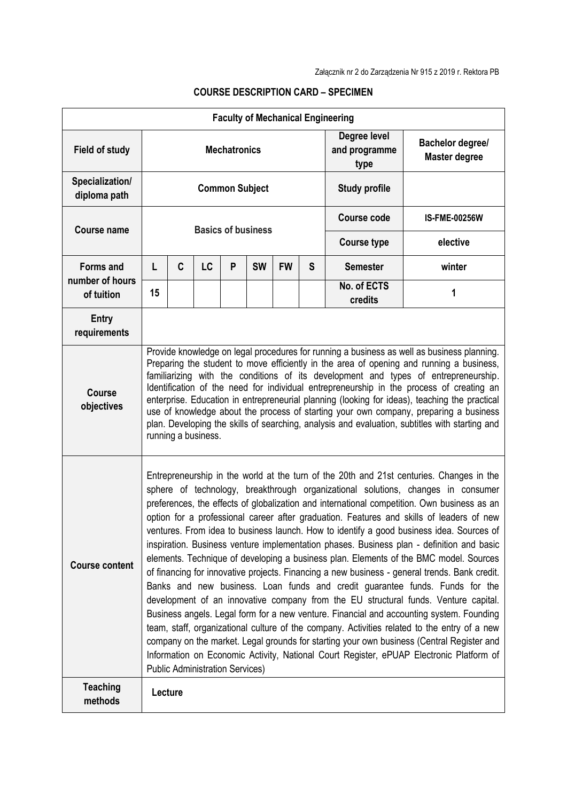| <b>Faculty of Mechanical Engineering</b> |                                                                                                                                                                                                                                                                                                                                                                                                                                                                                                                                                                                                                                                                                                                                                                                                                                                                                                                                                                                                                                                                                                                                                                                                                                                                                                                                                                 |   |           |   |           |           |                                       |                                          |                      |
|------------------------------------------|-----------------------------------------------------------------------------------------------------------------------------------------------------------------------------------------------------------------------------------------------------------------------------------------------------------------------------------------------------------------------------------------------------------------------------------------------------------------------------------------------------------------------------------------------------------------------------------------------------------------------------------------------------------------------------------------------------------------------------------------------------------------------------------------------------------------------------------------------------------------------------------------------------------------------------------------------------------------------------------------------------------------------------------------------------------------------------------------------------------------------------------------------------------------------------------------------------------------------------------------------------------------------------------------------------------------------------------------------------------------|---|-----------|---|-----------|-----------|---------------------------------------|------------------------------------------|----------------------|
| <b>Field of study</b>                    | <b>Mechatronics</b>                                                                                                                                                                                                                                                                                                                                                                                                                                                                                                                                                                                                                                                                                                                                                                                                                                                                                                                                                                                                                                                                                                                                                                                                                                                                                                                                             |   |           |   |           |           | Degree level<br>and programme<br>type | <b>Bachelor degree/</b><br>Master degree |                      |
| Specialization/<br>diploma path          | <b>Common Subject</b>                                                                                                                                                                                                                                                                                                                                                                                                                                                                                                                                                                                                                                                                                                                                                                                                                                                                                                                                                                                                                                                                                                                                                                                                                                                                                                                                           |   |           |   |           |           | <b>Study profile</b>                  |                                          |                      |
| <b>Course name</b>                       | <b>Basics of business</b>                                                                                                                                                                                                                                                                                                                                                                                                                                                                                                                                                                                                                                                                                                                                                                                                                                                                                                                                                                                                                                                                                                                                                                                                                                                                                                                                       |   |           |   |           |           |                                       | <b>Course code</b>                       | <b>IS-FME-00256W</b> |
|                                          |                                                                                                                                                                                                                                                                                                                                                                                                                                                                                                                                                                                                                                                                                                                                                                                                                                                                                                                                                                                                                                                                                                                                                                                                                                                                                                                                                                 |   |           |   |           |           |                                       | <b>Course type</b>                       | elective             |
| <b>Forms and</b>                         | L                                                                                                                                                                                                                                                                                                                                                                                                                                                                                                                                                                                                                                                                                                                                                                                                                                                                                                                                                                                                                                                                                                                                                                                                                                                                                                                                                               | C | <b>LC</b> | P | <b>SW</b> | <b>FW</b> | S                                     | <b>Semester</b>                          | winter               |
| number of hours<br>of tuition            | 15                                                                                                                                                                                                                                                                                                                                                                                                                                                                                                                                                                                                                                                                                                                                                                                                                                                                                                                                                                                                                                                                                                                                                                                                                                                                                                                                                              |   |           |   |           |           |                                       | No. of ECTS<br>credits                   | 1                    |
| Entry<br>requirements                    |                                                                                                                                                                                                                                                                                                                                                                                                                                                                                                                                                                                                                                                                                                                                                                                                                                                                                                                                                                                                                                                                                                                                                                                                                                                                                                                                                                 |   |           |   |           |           |                                       |                                          |                      |
| <b>Course</b><br>objectives              | Provide knowledge on legal procedures for running a business as well as business planning.<br>Preparing the student to move efficiently in the area of opening and running a business,<br>familiarizing with the conditions of its development and types of entrepreneurship.<br>Identification of the need for individual entrepreneurship in the process of creating an<br>enterprise. Education in entrepreneurial planning (looking for ideas), teaching the practical<br>use of knowledge about the process of starting your own company, preparing a business<br>plan. Developing the skills of searching, analysis and evaluation, subtitles with starting and<br>running a business.                                                                                                                                                                                                                                                                                                                                                                                                                                                                                                                                                                                                                                                                    |   |           |   |           |           |                                       |                                          |                      |
| <b>Course content</b>                    | Entrepreneurship in the world at the turn of the 20th and 21st centuries. Changes in the<br>sphere of technology, breakthrough organizational solutions, changes in consumer<br>preferences, the effects of globalization and international competition. Own business as an<br>option for a professional career after graduation. Features and skills of leaders of new<br>ventures. From idea to business launch. How to identify a good business idea. Sources of<br>inspiration. Business venture implementation phases. Business plan - definition and basic<br>elements. Technique of developing a business plan. Elements of the BMC model. Sources<br>of financing for innovative projects. Financing a new business - general trends. Bank credit.<br>Banks and new business. Loan funds and credit guarantee funds. Funds for the<br>development of an innovative company from the EU structural funds. Venture capital.<br>Business angels. Legal form for a new venture. Financial and accounting system. Founding<br>team, staff, organizational culture of the company. Activities related to the entry of a new<br>company on the market. Legal grounds for starting your own business (Central Register and<br>Information on Economic Activity, National Court Register, ePUAP Electronic Platform of<br><b>Public Administration Services)</b> |   |           |   |           |           |                                       |                                          |                      |
| <b>Teaching</b><br>methods               | Lecture                                                                                                                                                                                                                                                                                                                                                                                                                                                                                                                                                                                                                                                                                                                                                                                                                                                                                                                                                                                                                                                                                                                                                                                                                                                                                                                                                         |   |           |   |           |           |                                       |                                          |                      |

## **COURSE DESCRIPTION CARD – SPECIMEN**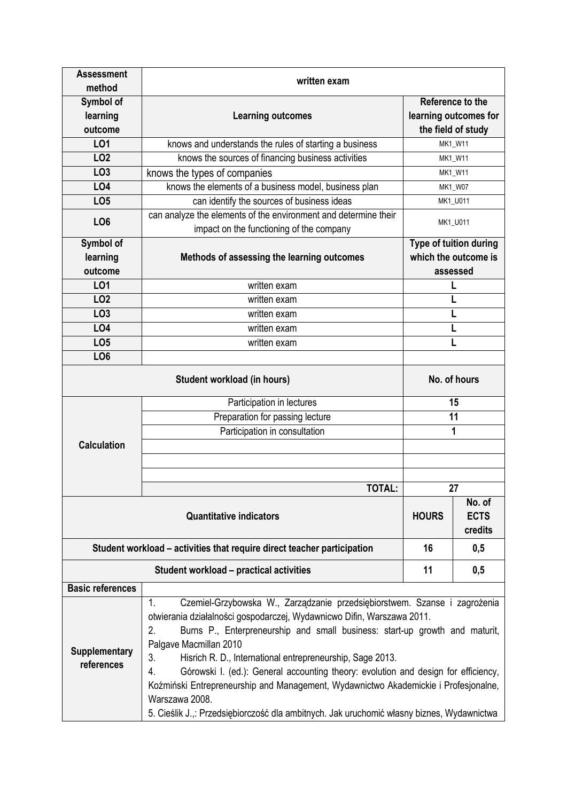| <b>Assessment</b>                                                                    | written exam                                                                                                                                                                                                                                                                                                                                                                                                                                                                                                                                               |                                                |                       |  |  |  |  |
|--------------------------------------------------------------------------------------|------------------------------------------------------------------------------------------------------------------------------------------------------------------------------------------------------------------------------------------------------------------------------------------------------------------------------------------------------------------------------------------------------------------------------------------------------------------------------------------------------------------------------------------------------------|------------------------------------------------|-----------------------|--|--|--|--|
| method                                                                               |                                                                                                                                                                                                                                                                                                                                                                                                                                                                                                                                                            |                                                |                       |  |  |  |  |
| <b>Symbol of</b>                                                                     |                                                                                                                                                                                                                                                                                                                                                                                                                                                                                                                                                            | Reference to the                               |                       |  |  |  |  |
| learning                                                                             | <b>Learning outcomes</b>                                                                                                                                                                                                                                                                                                                                                                                                                                                                                                                                   |                                                | learning outcomes for |  |  |  |  |
| outcome                                                                              |                                                                                                                                                                                                                                                                                                                                                                                                                                                                                                                                                            |                                                | the field of study    |  |  |  |  |
| L01                                                                                  | knows and understands the rules of starting a business                                                                                                                                                                                                                                                                                                                                                                                                                                                                                                     |                                                | MK1_W11               |  |  |  |  |
| LO <sub>2</sub>                                                                      | knows the sources of financing business activities                                                                                                                                                                                                                                                                                                                                                                                                                                                                                                         | MK1_W11                                        |                       |  |  |  |  |
| LO <sub>3</sub>                                                                      | knows the types of companies                                                                                                                                                                                                                                                                                                                                                                                                                                                                                                                               | MK1_W11                                        |                       |  |  |  |  |
| LO4                                                                                  | knows the elements of a business model, business plan                                                                                                                                                                                                                                                                                                                                                                                                                                                                                                      | MK1_W07                                        |                       |  |  |  |  |
| LO <sub>5</sub>                                                                      | can identify the sources of business ideas                                                                                                                                                                                                                                                                                                                                                                                                                                                                                                                 | MK1_U011                                       |                       |  |  |  |  |
| LO <sub>6</sub>                                                                      | can analyze the elements of the environment and determine their                                                                                                                                                                                                                                                                                                                                                                                                                                                                                            |                                                |                       |  |  |  |  |
|                                                                                      | impact on the functioning of the company                                                                                                                                                                                                                                                                                                                                                                                                                                                                                                                   | MK1_U011                                       |                       |  |  |  |  |
| Symbol of                                                                            |                                                                                                                                                                                                                                                                                                                                                                                                                                                                                                                                                            | Type of tuition during<br>which the outcome is |                       |  |  |  |  |
| learning                                                                             | Methods of assessing the learning outcomes                                                                                                                                                                                                                                                                                                                                                                                                                                                                                                                 |                                                |                       |  |  |  |  |
| outcome                                                                              |                                                                                                                                                                                                                                                                                                                                                                                                                                                                                                                                                            | assessed                                       |                       |  |  |  |  |
| LO1                                                                                  | written exam                                                                                                                                                                                                                                                                                                                                                                                                                                                                                                                                               |                                                |                       |  |  |  |  |
| LO <sub>2</sub>                                                                      | written exam                                                                                                                                                                                                                                                                                                                                                                                                                                                                                                                                               |                                                |                       |  |  |  |  |
| LO <sub>3</sub>                                                                      | written exam                                                                                                                                                                                                                                                                                                                                                                                                                                                                                                                                               |                                                |                       |  |  |  |  |
| <b>LO4</b>                                                                           | written exam                                                                                                                                                                                                                                                                                                                                                                                                                                                                                                                                               |                                                |                       |  |  |  |  |
| LO <sub>5</sub>                                                                      | written exam                                                                                                                                                                                                                                                                                                                                                                                                                                                                                                                                               |                                                |                       |  |  |  |  |
| LO <sub>6</sub>                                                                      |                                                                                                                                                                                                                                                                                                                                                                                                                                                                                                                                                            |                                                |                       |  |  |  |  |
|                                                                                      |                                                                                                                                                                                                                                                                                                                                                                                                                                                                                                                                                            | No. of hours                                   |                       |  |  |  |  |
|                                                                                      | Participation in lectures                                                                                                                                                                                                                                                                                                                                                                                                                                                                                                                                  | 15                                             |                       |  |  |  |  |
|                                                                                      | Preparation for passing lecture                                                                                                                                                                                                                                                                                                                                                                                                                                                                                                                            | 11                                             |                       |  |  |  |  |
|                                                                                      | Participation in consultation                                                                                                                                                                                                                                                                                                                                                                                                                                                                                                                              | 1                                              |                       |  |  |  |  |
| <b>Calculation</b>                                                                   |                                                                                                                                                                                                                                                                                                                                                                                                                                                                                                                                                            |                                                |                       |  |  |  |  |
|                                                                                      |                                                                                                                                                                                                                                                                                                                                                                                                                                                                                                                                                            |                                                |                       |  |  |  |  |
|                                                                                      |                                                                                                                                                                                                                                                                                                                                                                                                                                                                                                                                                            |                                                |                       |  |  |  |  |
|                                                                                      | <b>TOTAL:</b>                                                                                                                                                                                                                                                                                                                                                                                                                                                                                                                                              | 27                                             |                       |  |  |  |  |
|                                                                                      | <b>HOURS</b>                                                                                                                                                                                                                                                                                                                                                                                                                                                                                                                                               | No. of<br><b>ECTS</b><br>credits               |                       |  |  |  |  |
| Student workload – activities that require direct teacher participation<br>16<br>0,5 |                                                                                                                                                                                                                                                                                                                                                                                                                                                                                                                                                            |                                                |                       |  |  |  |  |
|                                                                                      | Student workload - practical activities                                                                                                                                                                                                                                                                                                                                                                                                                                                                                                                    | 11                                             | 0,5                   |  |  |  |  |
| <b>Basic references</b>                                                              |                                                                                                                                                                                                                                                                                                                                                                                                                                                                                                                                                            |                                                |                       |  |  |  |  |
|                                                                                      | 1.<br>Czemiel-Grzybowska W., Zarządzanie przedsiębiorstwem. Szanse i zagrożenia                                                                                                                                                                                                                                                                                                                                                                                                                                                                            |                                                |                       |  |  |  |  |
| Supplementary<br>references                                                          | otwierania działalności gospodarczej, Wydawnicwo Difin, Warszawa 2011.<br>Burns P., Enterpreneurship and small business: start-up growth and maturit,<br>2.<br>Palgave Macmillan 2010<br>Hisrich R. D., International entrepreneurship, Sage 2013.<br>3.<br>Górowski I. (ed.): General accounting theory: evolution and design for efficiency,<br>4.<br>Koźmiński Entrepreneurship and Management, Wydawnictwo Akademickie i Profesjonalne,<br>Warszawa 2008.<br>5. Cieślik J.,: Przedsiębiorczość dla ambitnych. Jak uruchomić własny biznes, Wydawnictwa |                                                |                       |  |  |  |  |